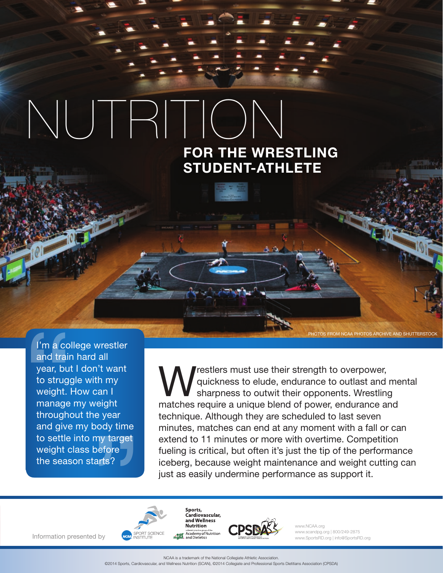# NUTRITION FOR THE WRESTLING

I'm a college wrestler and train hard all year, but I don't want to struggle with my weight. How can I manage my weight throughout the year and give my body time to settle into my target weight class before the season starts? I'm a col<br>and train<br>year, but<br>to strugg<br>weight. I<br>manage<br>throughc<br>and give body time<br>
my target<br>
before<br>
tarts?<br>
and by

Information presented by

Westlers must use their strength to overpower,<br>quickness to elude, endurance to outlast and<br>sharpness to outwit their opponents. Wrestling quickness to elude, endurance to outlast and mental sharpness to outwit their opponents. Wrestling matches require a unique blend of power, endurance and technique. Although they are scheduled to last seven minutes, matches can end at any moment with a fall or can extend to 11 minutes or more with overtime. Competition fueling is critical, but often it's just the tip of the performance iceberg, because weight maintenance and weight cutting can just as easily undermine performance as support it.



Sports, **Cardiovascular,<br>and Wellness Nutrition** adistrationactics group of the<br> **eqt** Academy of Nutrition<br> **right.** and Dietetics



STUDENT-ATHLETE

www.NCAA.org www.scandpg.org | 800/249-2875 www.SportsRD.org | info@SportsRD.org

PHOTOS FROM NCAA PHOTOS ARCHIVE AND SHUTTERSTOC

NCAA is a trademark of the National Collegiate Athletic Association.

©2014 Sports, Cardiovascular, and Wellness Nutrition (SCAN), ©2014 Collegiate and Professional Sports Dietitians Association (CPSDA)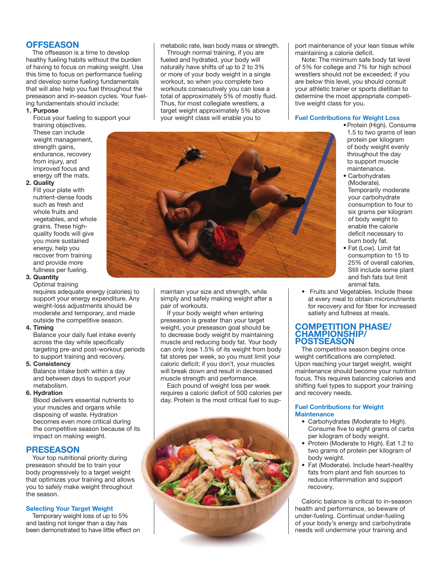# **OFFSEASON**

The offseason is a time to develop healthy fueling habits without the burden of having to focus on making weight. Use this time to focus on performance fueling and develop some fueling fundamentals that will also help you fuel throughout the preseason and in-season cycles. Your fueling fundamentals should include:

#### 1. Purpose

 Focus your fueling to support your training objectives.

These can include weight management, strength gains, endurance, recovery from injury, and improved focus and energy off the mats.

#### 2. Quality

 Fill your plate with nutrient-dense foods such as fresh and whole fruits and vegetables, and whole grains. These highquality foods will give you more sustained energy, help you recover from training and provide more fullness per fueling.

### 3. Quantity

Optimal training

requires adequate energy (calories) to support your energy expenditure. Any weight-loss adjustments should be moderate and temporary, and made outside the competitive season.

#### 4. Timing

 Balance your daily fuel intake evenly across the day while specifically targeting pre-and post-workout periods to support training and recovery.

#### 5. Consistency

 Balance intake both within a day and between days to support your metabolism.

#### 6. Hydration

 Blood delivers essential nutrients to your muscles and organs while disposing of waste. Hydration becomes even more critical during the competitive season because of its impact on making weight.

# PRESEASON

Your top nutritional priority during preseason should be to train your body progressively to a target weight that optimizes your training and allows you to safely make weight throughout the season.

#### Selecting Your Target Weight

Temporary weight loss of up to 5% and lasting not longer than a day has been demonstrated to have little effect on metabolic rate, lean body mass or strength.

Through normal training, if you are fueled and hydrated, your body will naturally have shifts of up to 2 to 3% or more of your body weight in a single workout, so when you complete two workouts consecutively you can lose a total of approximately 5% of mostly fluid. Thus, for most collegiate wrestlers, a target weight approximately 5% above your weight class will enable you to

port maintenance of your lean tissue while maintaining a calorie deficit.

Note: The minimum safe body fat level of 5% for college and 7% for high school wrestlers should not be exceeded; if you are below this level, you should consult your athletic trainer or sports dietitian to determine the most appropriate competitive weight class for you.

#### Fuel Contributions for Weight Loss

• Protein (High). Consume 1.5 to two grams of lean protein per kilogram of body weight evenly throughout the day to support muscle maintenance.

- Carbohydrates (Moderate). Temporarily moderate your carbohydrate consumption to four to six grams per kilogram of body weight to enable the calorie deficit necessary to burn body fat.
- Fat (Low). Limit fat consumption to 15 to 25% of overall calories. Still include some plant and fish fats but limit animal fats.
- Fruits and Vegetables. Include these at every meal to obtain micronutrients for recovery and for fiber for increased satiety and fullness at meals.

# COMPETITION PHASE/ CHAMPIONSHIP/ POSTSEASON

The competitive season begins once weight certifications are completed. Upon reaching your target weight, weight maintenance should become your nutrition focus. This requires balancing calories and shifting fuel types to support your training and recovery needs.

#### Fuel Contributions for Weight **Maintenance**

- Carbohydrates (Moderate to High). Consume five to eight grams of carbs per kilogram of body weight.
- Protein (Moderate to High). Eat 1.2 to two grams of protein per kilogram of body weight.
- Fat (Moderate). Include heart-healthy fats from plant and fish sources to reduce inflammation and support recovery.

Caloric balance is critical to in-season health and performance, so beware of under-fueling. Continual under-fueling of your body's energy and carbohydrate needs will undermine your training and



maintain your size and strength, while simply and safely making weight after a pair of workouts.

If your body weight when entering preseason is greater than your target weight, your preseason goal should be to decrease body weight by maintaining muscle and reducing body fat. Your body can only lose 1.5% of its weight from body fat stores per week, so you must limit your caloric deficit; if you don't, your muscles will break down and result in decreased muscle strength and performance.

Each pound of weight loss per week requires a caloric deficit of 500 calories per day. Protein is the most critical fuel to sup-

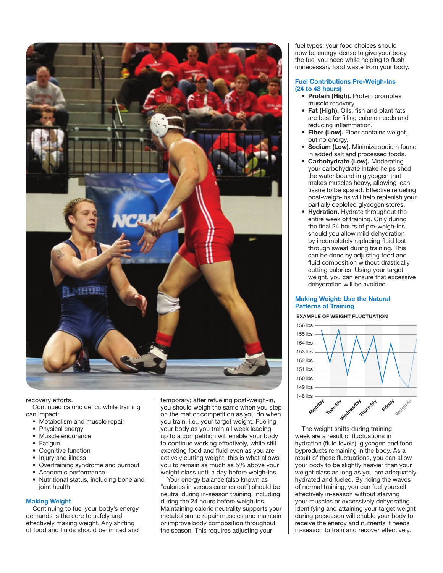

recovery efforts.

Continued caloric deficit while training can impact:

- Metabolism and muscle repair
- Physical energy
- Muscle endurance
- **Fatigue**
- Cognitive function
- Injury and illness
- Overtraining syndrome and burnout
- Academic performance
- Nutritional status, including bone and joint health

# Making Weight

Continuing to fuel your body's energy demands is the core to safely and effectively making weight. Any shifting of food and fluids should be limited and temporary; after refueling post-weigh-in, you should weigh the same when you step on the mat or competition as you do when you train, i.e., your target weight. Fueling your body as you train all week leading up to a competition will enable your body to continue working effectively, while still excreting food and fluid even as you are actively cutting weight; this is what allows you to remain as much as 5% above your weight class until a day before weigh-ins.

Your energy balance (also known as "calories in versus calories out") should be neutral during in-season training, including during the 24 hours before weigh-ins. Maintaining calorie neutrality supports your metabolism to repair muscles and maintain or improve body composition throughout the season. This requires adjusting your

fuel types; your food choices should now be energy-dense to give your body the fuel you need while helping to flush unnecessary food waste from your body.

#### Fuel Contributions Pre-Weigh-Ins (24 to 48 hours)

- Protein (High). Protein promotes muscle recovery.
- Fat (High). Oils, fish and plant fats are best for filling calorie needs and reducing inflammation.
- Fiber (Low). Fiber contains weight, but no energy.
- Sodium (Low). Minimize sodium found in added salt and processed foods.
- Carbohydrate (Low). Moderating your carbohydrate intake helps shed the water bound in glycogen that makes muscles heavy, allowing lean tissue to be spared. Effective refueling post-weigh-ins will help replenish your partially depleted glycogen stores.
- Hydration. Hydrate throughout the entire week of training. Only during the final 24 hours of pre-weigh-ins should you allow mild dehydration by incompletely replacing fluid lost through sweat during training. This can be done by adjusting food and fluid composition without drastically cutting calories. Using your target weight, you can ensure that excessive dehydration will be avoided.

#### Making Weight: Use the Natural Patterns of Training

#### EXAMPLE OF WEIGHT FLUCTUATION



The weight shifts during training week are a result of fluctuations in hydration (fluid levels), glycogen and food byproducts remaining in the body. As a result of these fluctuations, you can allow your body to be slightly heavier than your weight class as long as you are adequately hydrated and fueled. By riding the waves of normal training, you can fuel yourself effectively in-season without starving your muscles or excessively dehydrating. Identifying and attaining your target weight during preseason will enable your body to receive the energy and nutrients it needs in-season to train and recover effectively.